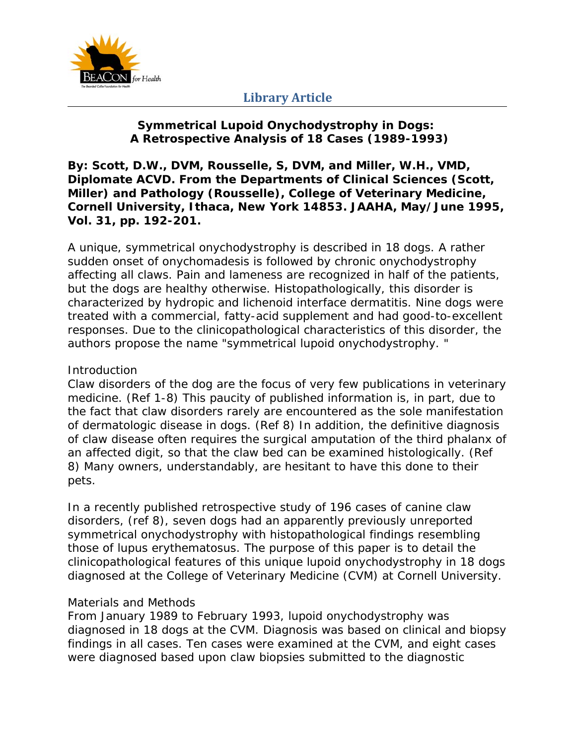

## **Symmetrical Lupoid Onychodystrophy in Dogs: A Retrospective Analysis of 18 Cases (1989-1993)**

**By: Scott, D.W., DVM, Rousselle, S, DVM, and Miller, W.H., VMD, Diplomate ACVD. From the Departments of Clinical Sciences (Scott, Miller) and Pathology (Rousselle), College of Veterinary Medicine, Cornell University, Ithaca, New York 14853. JAAHA, May/June 1995, Vol. 31, pp. 192-201.** 

A unique, symmetrical onychodystrophy is described in 18 dogs. A rather sudden onset of onychomadesis is followed by chronic onychodystrophy affecting all claws. Pain and lameness are recognized in half of the patients, but the dogs are healthy otherwise. Histopathologically, this disorder is characterized by hydropic and lichenoid interface dermatitis. Nine dogs were treated with a commercial, fatty-acid supplement and had good-to-excellent responses. Due to the clinicopathological characteristics of this disorder, the authors propose the name "symmetrical lupoid onychodystrophy. "

#### **Introduction**

Claw disorders of the dog are the focus of very few publications in veterinary medicine. (Ref 1-8) This paucity of published information is, in part, due to the fact that claw disorders rarely are encountered as the sole manifestation of dermatologic disease in dogs. (Ref 8) In addition, the definitive diagnosis of claw disease often requires the surgical amputation of the third phalanx of an affected digit, so that the claw bed can be examined histologically. (Ref 8) Many owners, understandably, are hesitant to have this done to their pets.

In a recently published retrospective study of 196 cases of canine claw disorders, (ref 8), seven dogs had an apparently previously unreported symmetrical onychodystrophy with histopathological findings resembling those of lupus erythematosus. The purpose of this paper is to detail the clinicopathological features of this unique lupoid onychodystrophy in 18 dogs diagnosed at the College of Veterinary Medicine (CVM) at Cornell University.

### Materials and Methods

From January 1989 to February 1993, lupoid onychodystrophy was diagnosed in 18 dogs at the CVM. Diagnosis was based on clinical and biopsy findings in all cases. Ten cases were examined at the CVM, and eight cases were diagnosed based upon claw biopsies submitted to the diagnostic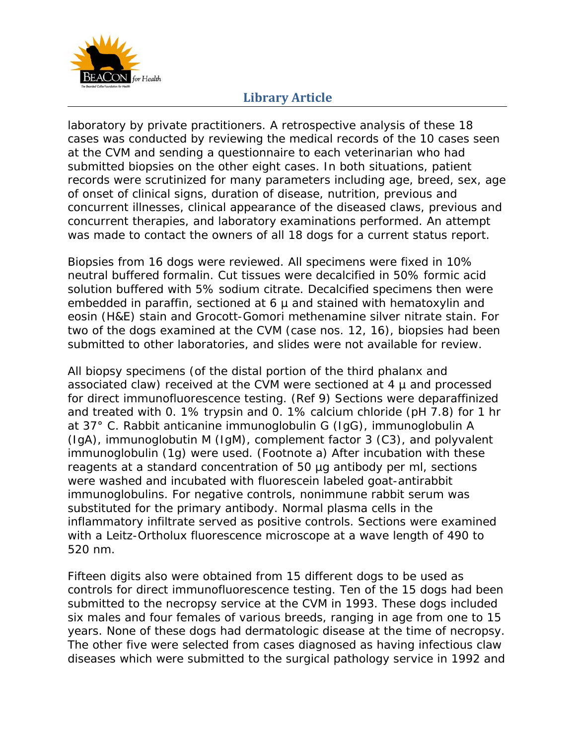

laboratory by private practitioners. A retrospective analysis of these 18 cases was conducted by reviewing the medical records of the 10 cases seen at the CVM and sending a questionnaire to each veterinarian who had submitted biopsies on the other eight cases. In both situations, patient records were scrutinized for many parameters including age, breed, sex, age of onset of clinical signs, duration of disease, nutrition, previous and concurrent illnesses, clinical appearance of the diseased claws, previous and concurrent therapies, and laboratory examinations performed. An attempt was made to contact the owners of all 18 dogs for a current status report.

Biopsies from 16 dogs were reviewed. All specimens were fixed in 10% neutral buffered formalin. Cut tissues were decalcified in 50% formic acid solution buffered with 5% sodium citrate. Decalcified specimens then were embedded in paraffin, sectioned at  $6 \mu$  and stained with hematoxylin and eosin (H&E) stain and Grocott-Gomori methenamine silver nitrate stain. For two of the dogs examined at the CVM (case nos. 12, 16), biopsies had been submitted to other laboratories, and slides were not available for review.

All biopsy specimens (of the distal portion of the third phalanx and associated claw) received at the CVM were sectioned at 4 µ and processed for direct immunofluorescence testing. (Ref 9) Sections were deparaffinized and treated with 0. 1% trypsin and 0. 1% calcium chloride (pH 7.8) for 1 hr at 37° C. Rabbit anticanine immunoglobulin G (IgG), immunoglobulin A (IgA), immunoglobutin M (IgM), complement factor 3 (C3), and polyvalent immunoglobulin (1g) were used. (Footnote a) After incubation with these reagents at a standard concentration of 50 µg antibody per ml, sections were washed and incubated with fluorescein labeled goat-antirabbit immunoglobulins. For negative controls, nonimmune rabbit serum was substituted for the primary antibody. Normal plasma cells in the inflammatory infiltrate served as positive controls. Sections were examined with a Leitz-Ortholux fluorescence microscope at a wave length of 490 to 520 nm.

Fifteen digits also were obtained from 15 different dogs to be used as controls for direct immunofluorescence testing. Ten of the 15 dogs had been submitted to the necropsy service at the CVM in 1993. These dogs included six males and four females of various breeds, ranging in age from one to 15 years. None of these dogs had dermatologic disease at the time of necropsy. The other five were selected from cases diagnosed as having infectious claw diseases which were submitted to the surgical pathology service in 1992 and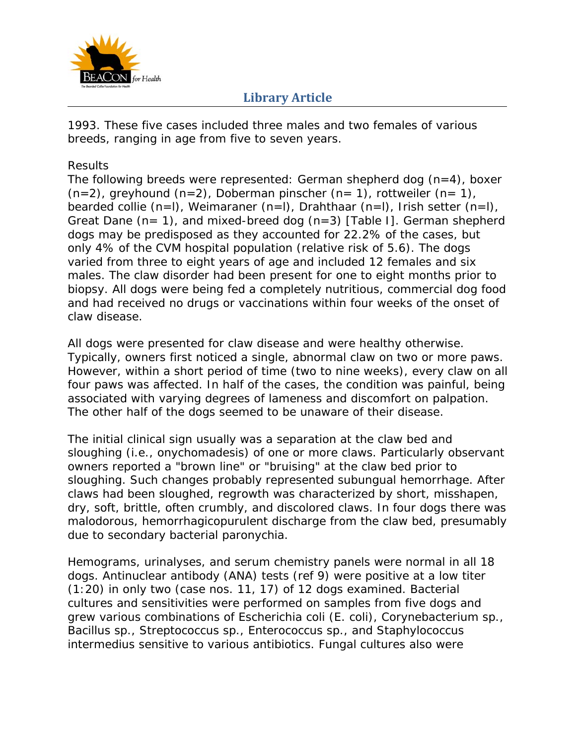

1993. These five cases included three males and two females of various breeds, ranging in age from five to seven years.

#### Results

The following breeds were represented: German shepherd dog  $(n=4)$ , boxer  $(n=2)$ , greyhound  $(n=2)$ , Doberman pinscher  $(n=1)$ , rottweiler  $(n=1)$ , bearded collie (n=l), Weimaraner (n=l), Drahthaar (n=l), Irish setter (n=l), Great Dane  $(n= 1)$ , and mixed-breed dog  $(n=3)$  [Table I]. German shepherd dogs may be predisposed as they accounted for 22.2% of the cases, but only 4% of the CVM hospital population (relative risk of 5.6). The dogs varied from three to eight years of age and included 12 females and six males. The claw disorder had been present for one to eight months prior to biopsy. All dogs were being fed a completely nutritious, commercial dog food and had received no drugs or vaccinations within four weeks of the onset of claw disease.

All dogs were presented for claw disease and were healthy otherwise. Typically, owners first noticed a single, abnormal claw on two or more paws. However, within a short period of time (two to nine weeks), every claw on all four paws was affected. In half of the cases, the condition was painful, being associated with varying degrees of lameness and discomfort on palpation. The other half of the dogs seemed to be unaware of their disease.

The initial clinical sign usually was a separation at the claw bed and sloughing (i.e., onychomadesis) of one or more claws. Particularly observant owners reported a "brown line" or "bruising" at the claw bed prior to sloughing. Such changes probably represented subungual hemorrhage. After claws had been sloughed, regrowth was characterized by short, misshapen, dry, soft, brittle, often crumbly, and discolored claws. In four dogs there was malodorous, hemorrhagicopurulent discharge from the claw bed, presumably due to secondary bacterial paronychia.

Hemograms, urinalyses, and serum chemistry panels were normal in all 18 dogs. Antinuclear antibody (ANA) tests (ref 9) were positive at a low titer (1:20) in only two (case nos. 11, 17) of 12 dogs examined. Bacterial cultures and sensitivities were performed on samples from five dogs and grew various combinations of Escherichia coli (E. coli), Corynebacterium sp., Bacillus sp., Streptococcus sp., Enterococcus sp., and Staphylococcus intermedius sensitive to various antibiotics. Fungal cultures also were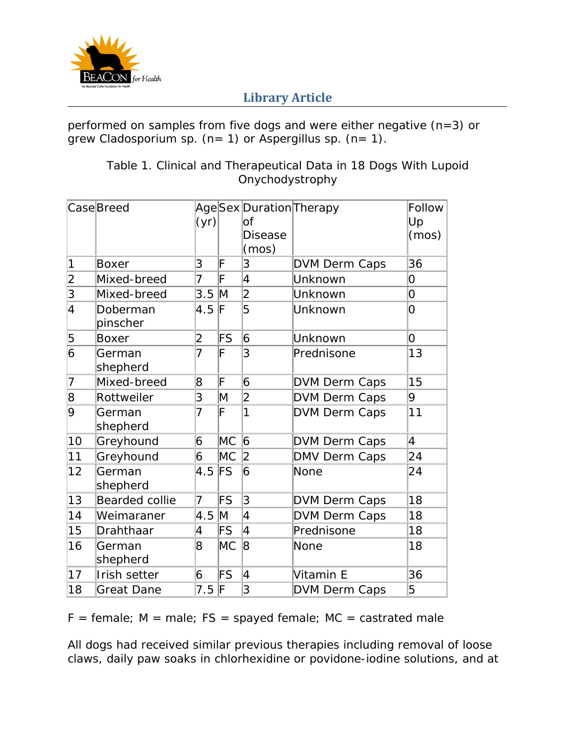

performed on samples from five dogs and were either negative (n=3) or grew Cladosporium sp.  $(n= 1)$  or Aspergillus sp.  $(n= 1)$ .

|                | CaseBreed             | (yr)           |               | AgeSex Duration Therapy<br>lof<br><b>Disease</b><br>(mos) |                      | Follow<br>Up<br>(mos) |
|----------------|-----------------------|----------------|---------------|-----------------------------------------------------------|----------------------|-----------------------|
| 1              | Boxer                 | 3              | F             | 3                                                         | <b>DVM Derm Caps</b> | 36                    |
| $\overline{2}$ | Mixed-breed           | 7              | F             | 4                                                         | Unknown              | 0                     |
| 3              | Mixed-breed           | 3.5            | M             | $\overline{2}$                                            | Unknown              | 0                     |
| $\overline{4}$ | Doberman<br>pinscher  | 4.5            | F             | 5                                                         | Unknown              | 0                     |
| 5              | <b>Boxer</b>          | 2              | FS            | 6                                                         | Unknown              | 0                     |
| 6              | German<br>shepherd    | $\overline{7}$ | F             | 3                                                         | Prednisone           | 13                    |
| 7              | Mixed-breed           | 8              | F             | 6                                                         | <b>DVM Derm Caps</b> | 15                    |
| 8              | Rottweiler            | 3              | M             | $\overline{2}$                                            | DVM Derm Caps        | 9                     |
| 9              | German<br>shepherd    | 7              | F             | 1                                                         | <b>DVM Derm Caps</b> | 11                    |
| 10             | Greyhound             | 6              | МC            | 6                                                         | DVM Derm Caps        | $\overline{4}$        |
| 11             | Greyhound             | 6              | МC            | 2                                                         | DMV Derm Caps        | 24                    |
| 12             | German<br>shepherd    | 4.5            | $\mathsf{FS}$ | 6                                                         | None                 | 24                    |
| 13             | <b>Bearded collie</b> | $\overline{7}$ | FS            | 3                                                         | <b>DVM Derm Caps</b> | 18                    |
| 14             | Weimaraner            | 4.5            | M             | 4                                                         | <b>DVM Derm Caps</b> | 18                    |
| 15             | Drahthaar             | 4              | FS            | 4                                                         | Prednisone           | 18                    |
| 16             | German<br>shepherd    | 8              | МC            | 8                                                         | None                 | 18                    |
| 17             | Irish setter          | 6              | FS            | 4                                                         | Vitamin E            | 36                    |
| 18             | <b>Great Dane</b>     | 7.5            | F             | 3                                                         | <b>DVM Derm Caps</b> | 5                     |

## Table 1. Clinical and Therapeutical Data in 18 Dogs With Lupoid Onychodystrophy

 $F =$  female;  $M =$  male;  $FS =$  spayed female;  $MC =$  castrated male

All dogs had received similar previous therapies including removal of loose claws, daily paw soaks in chlorhexidine or povidone-iodine solutions, and at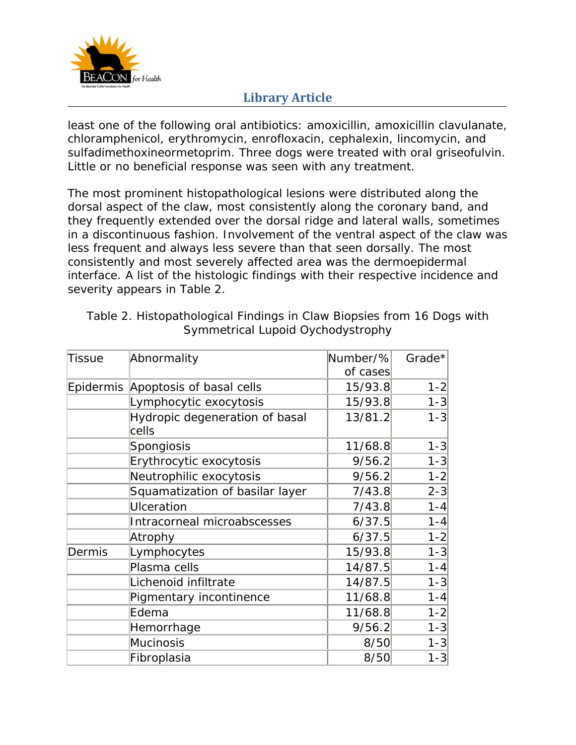

least one of the following oral antibiotics: amoxicillin, amoxicillin clavulanate, chloramphenicol, erythromycin, enrofloxacin, cephalexin, lincomycin, and sulfadimethoxineormetoprim. Three dogs were treated with oral griseofulvin. Little or no beneficial response was seen with any treatment.

The most prominent histopathological lesions were distributed along the dorsal aspect of the claw, most consistently along the coronary band, and they frequently extended over the dorsal ridge and lateral walls, sometimes in a discontinuous fashion. Involvement of the ventral aspect of the claw was less frequent and always less severe than that seen dorsally. The most consistently and most severely affected area was the dermoepidermal interface. A list of the histologic findings with their respective incidence and severity appears in Table 2.

| Tissue | Abnormality                             | Number/% | Grade*  |
|--------|-----------------------------------------|----------|---------|
|        |                                         | of cases |         |
|        | Epidermis Apoptosis of basal cells      | 15/93.8  | $1 - 2$ |
|        | Lymphocytic exocytosis                  | 15/93.8  | $1 - 3$ |
|        | Hydropic degeneration of basal<br>cells | 13/81.2  | $1 - 3$ |
|        | Spongiosis                              | 11/68.8  | $1 - 3$ |
|        | Erythrocytic exocytosis                 | 9/56.2   | $1 - 3$ |
|        | Neutrophilic exocytosis                 | 9/56.2   | $1 - 2$ |
|        | Squamatization of basilar layer         | 7/43.8   | $2 - 3$ |
|        | <b>Ulceration</b>                       | 7/43.8   | $1 - 4$ |
|        | Intracorneal microabscesses             | 6/37.5   | $1 - 4$ |
|        | Atrophy                                 | 6/37.5   | $1 - 2$ |
| Dermis | Lymphocytes                             | 15/93.8  | $1 - 3$ |
|        | Plasma cells                            | 14/87.5  | $1 - 4$ |
|        | Lichenoid infiltrate                    | 14/87.5  | $1 - 3$ |
|        | Pigmentary incontinence                 | 11/68.8  | $1 - 4$ |
|        | Edema                                   | 11/68.8  | $1 - 2$ |
|        | Hemorrhage                              | 9/56.2   | $1 - 3$ |
|        | Mucinosis                               | 8/50     | $1 - 3$ |
|        | Fibroplasia                             | 8/50     | $1 - 3$ |
|        |                                         |          |         |

Table 2. Histopathological Findings in Claw Biopsies from 16 Dogs with Symmetrical Lupoid Oychodystrophy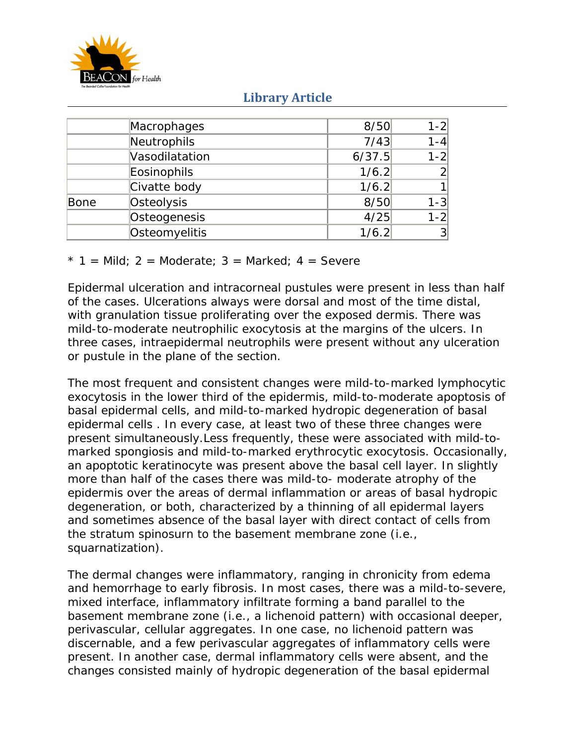

|      | Macrophages    | 8/50   | $1 - 2$        |
|------|----------------|--------|----------------|
|      | Neutrophils    | 7/43   | $1 - 4$        |
|      | Vasodilatation | 6/37.5 | $1 - 2$        |
|      | Eosinophils    | 1/6.2  | $\overline{2}$ |
|      | Civatte body   | 1/6.2  | 1              |
| Bone | Osteolysis     | 8/50   | $1 - 3$        |
|      | Osteogenesis   | 4/25   | $1 - 2$        |
|      | Osteomyelitis  | 1/6.2  | 3 <sup>2</sup> |

#### $* 1 =$  Mild; 2 = Moderate; 3 = Marked; 4 = Severe

Epidermal ulceration and intracorneal pustules were present in less than half of the cases. Ulcerations always were dorsal and most of the time distal, with granulation tissue proliferating over the exposed dermis. There was mild-to-moderate neutrophilic exocytosis at the margins of the ulcers. In three cases, intraepidermal neutrophils were present without any ulceration or pustule in the plane of the section.

The most frequent and consistent changes were mild-to-marked lymphocytic exocytosis in the lower third of the epidermis, mild-to-moderate apoptosis of basal epidermal cells, and mild-to-marked hydropic degeneration of basal epidermal cells . In every case, at least two of these three changes were present simultaneously.Less frequently, these were associated with mild-tomarked spongiosis and mild-to-marked erythrocytic exocytosis. Occasionally, an apoptotic keratinocyte was present above the basal cell layer. In slightly more than half of the cases there was mild-to- moderate atrophy of the epidermis over the areas of dermal inflammation or areas of basal hydropic degeneration, or both, characterized by a thinning of all epidermal layers and sometimes absence of the basal layer with direct contact of cells from the stratum spinosurn to the basement membrane zone (i.e., squarnatization).

The dermal changes were inflammatory, ranging in chronicity from edema and hemorrhage to early fibrosis. In most cases, there was a mild-to-severe, mixed interface, inflammatory infiltrate forming a band parallel to the basement membrane zone (i.e., a lichenoid pattern) with occasional deeper, perivascular, cellular aggregates. In one case, no lichenoid pattern was discernable, and a few perivascular aggregates of inflammatory cells were present. In another case, dermal inflammatory cells were absent, and the changes consisted mainly of hydropic degeneration of the basal epidermal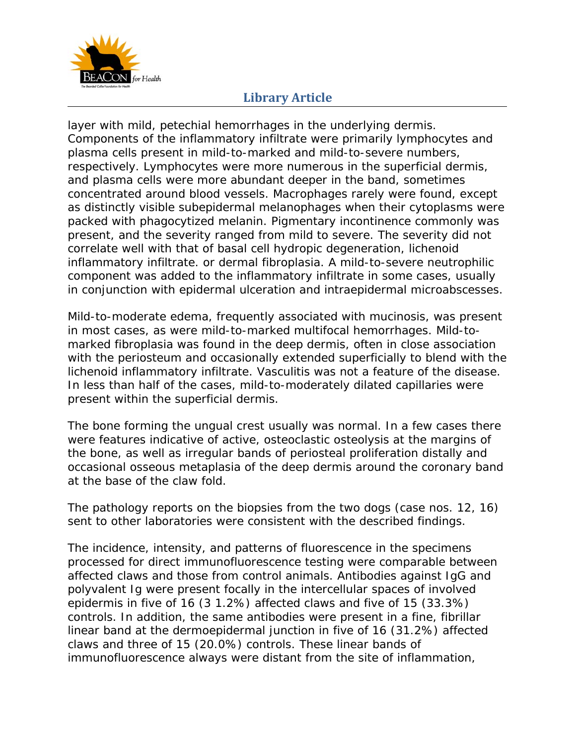

layer with mild, petechial hemorrhages in the underlying dermis. Components of the inflammatory infiltrate were primarily lymphocytes and plasma cells present in mild-to-marked and mild-to-severe numbers, respectively. Lymphocytes were more numerous in the superficial dermis, and plasma cells were more abundant deeper in the band, sometimes concentrated around blood vessels. Macrophages rarely were found, except as distinctly visible subepidermal melanophages when their cytoplasms were packed with phagocytized melanin. Pigmentary incontinence commonly was present, and the severity ranged from mild to severe. The severity did not correlate well with that of basal cell hydropic degeneration, lichenoid inflammatory infiltrate. or dermal fibroplasia. A mild-to-severe neutrophilic component was added to the inflammatory infiltrate in some cases, usually in conjunction with epidermal ulceration and intraepidermal microabscesses.

Mild-to-moderate edema, frequently associated with mucinosis, was present in most cases, as were mild-to-marked multifocal hemorrhages. Mild-tomarked fibroplasia was found in the deep dermis, often in close association with the periosteum and occasionally extended superficially to blend with the lichenoid inflammatory infiltrate. Vasculitis was not a feature of the disease. In less than half of the cases, mild-to-moderately dilated capillaries were present within the superficial dermis.

The bone forming the ungual crest usually was normal. In a few cases there were features indicative of active, osteoclastic osteolysis at the margins of the bone, as well as irregular bands of periosteal proliferation distally and occasional osseous metaplasia of the deep dermis around the coronary band at the base of the claw fold.

The pathology reports on the biopsies from the two dogs (case nos. 12, 16) sent to other laboratories were consistent with the described findings.

The incidence, intensity, and patterns of fluorescence in the specimens processed for direct immunofluorescence testing were comparable between affected claws and those from control animals. Antibodies against IgG and polyvalent Ig were present focally in the intercellular spaces of involved epidermis in five of 16 (3 1.2%) affected claws and five of 15 (33.3%) controls. In addition, the same antibodies were present in a fine, fibrillar linear band at the dermoepidermal junction in five of 16 (31.2%) affected claws and three of 15 (20.0%) controls. These linear bands of immunofluorescence always were distant from the site of inflammation,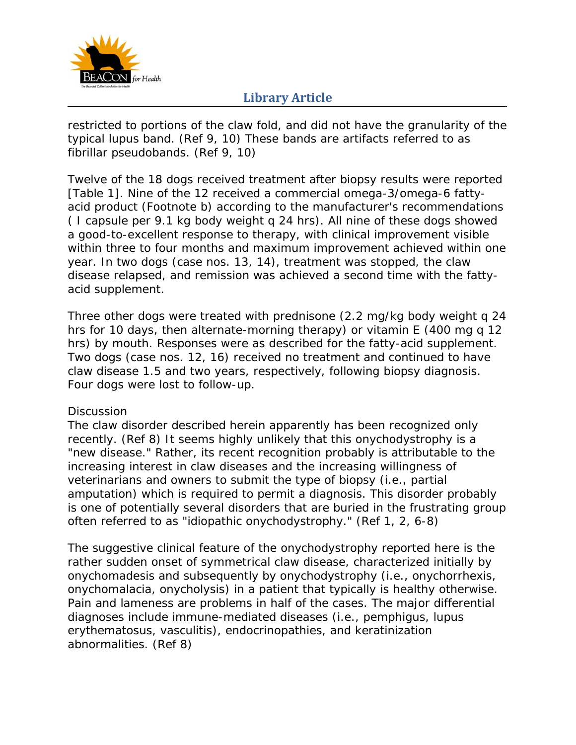

restricted to portions of the claw fold, and did not have the granularity of the typical lupus band. (Ref 9, 10) These bands are artifacts referred to as fibrillar pseudobands. (Ref 9, 10)

Twelve of the 18 dogs received treatment after biopsy results were reported [Table 1]. Nine of the 12 received a commercial omega-3/omega-6 fattyacid product (Footnote b) according to the manufacturer's recommendations ( I capsule per 9.1 kg body weight q 24 hrs). All nine of these dogs showed a good-to-excellent response to therapy, with clinical improvement visible within three to four months and maximum improvement achieved within one year. In two dogs (case nos. 13, 14), treatment was stopped, the claw disease relapsed, and remission was achieved a second time with the fattyacid supplement.

Three other dogs were treated with prednisone (2.2 mg/kg body weight q 24 hrs for 10 days, then alternate-morning therapy) or vitamin E (400 mg q 12 hrs) by mouth. Responses were as described for the fatty-acid supplement. Two dogs (case nos. 12, 16) received no treatment and continued to have claw disease 1.5 and two years, respectively, following biopsy diagnosis. Four dogs were lost to follow-up.

### **Discussion**

The claw disorder described herein apparently has been recognized only recently. (Ref 8) It seems highly unlikely that this onychodystrophy is a "new disease." Rather, its recent recognition probably is attributable to the increasing interest in claw diseases and the increasing willingness of veterinarians and owners to submit the type of biopsy (i.e., partial amputation) which is required to permit a diagnosis. This disorder probably is one of potentially several disorders that are buried in the frustrating group often referred to as "idiopathic onychodystrophy." (Ref 1, 2, 6-8)

The suggestive clinical feature of the onychodystrophy reported here is the rather sudden onset of symmetrical claw disease, characterized initially by onychomadesis and subsequently by onychodystrophy (i.e., onychorrhexis, onychomalacia, onycholysis) in a patient that typically is healthy otherwise. Pain and lameness are problems in half of the cases. The major differential diagnoses include immune-mediated diseases (i.e., pemphigus, lupus erythematosus, vasculitis), endocrinopathies, and keratinization abnormalities. (Ref 8)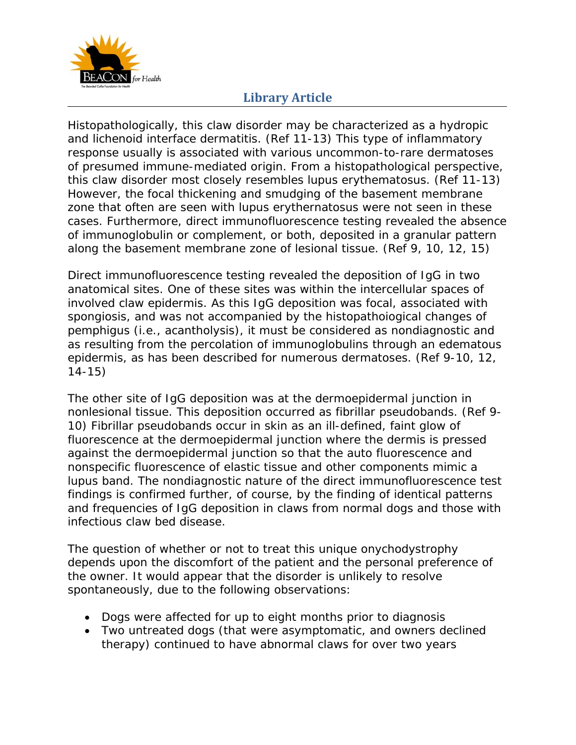

Histopathologically, this claw disorder may be characterized as a hydropic and lichenoid interface dermatitis. (Ref 11-13) This type of inflammatory response usually is associated with various uncommon-to-rare dermatoses of presumed immune-mediated origin. From a histopathological perspective, this claw disorder most closely resembles lupus erythematosus. (Ref 11-13) However, the focal thickening and smudging of the basement membrane zone that often are seen with lupus erythernatosus were not seen in these cases. Furthermore, direct immunofluorescence testing revealed the absence of immunoglobulin or complement, or both, deposited in a granular pattern along the basement membrane zone of lesional tissue. (Ref 9, 10, 12, 15)

Direct immunofluorescence testing revealed the deposition of IgG in two anatomical sites. One of these sites was within the intercellular spaces of involved claw epidermis. As this IgG deposition was focal, associated with spongiosis, and was not accompanied by the histopathoiogical changes of pemphigus (i.e., acantholysis), it must be considered as nondiagnostic and as resulting from the percolation of immunoglobulins through an edematous epidermis, as has been described for numerous dermatoses. (Ref 9-10, 12, 14-15)

The other site of IgG deposition was at the dermoepidermal junction in nonlesional tissue. This deposition occurred as fibrillar pseudobands. (Ref 9- 10) Fibrillar pseudobands occur in skin as an ill-defined, faint glow of fluorescence at the dermoepidermal junction where the dermis is pressed against the dermoepidermal junction so that the auto fluorescence and nonspecific fluorescence of elastic tissue and other components mimic a lupus band. The nondiagnostic nature of the direct immunofluorescence test findings is confirmed further, of course, by the finding of identical patterns and frequencies of IgG deposition in claws from normal dogs and those with infectious claw bed disease.

The question of whether or not to treat this unique onychodystrophy depends upon the discomfort of the patient and the personal preference of the owner. It would appear that the disorder is unlikely to resolve spontaneously, due to the following observations:

- Dogs were affected for up to eight months prior to diagnosis
- Two untreated dogs (that were asymptomatic, and owners declined therapy) continued to have abnormal claws for over two years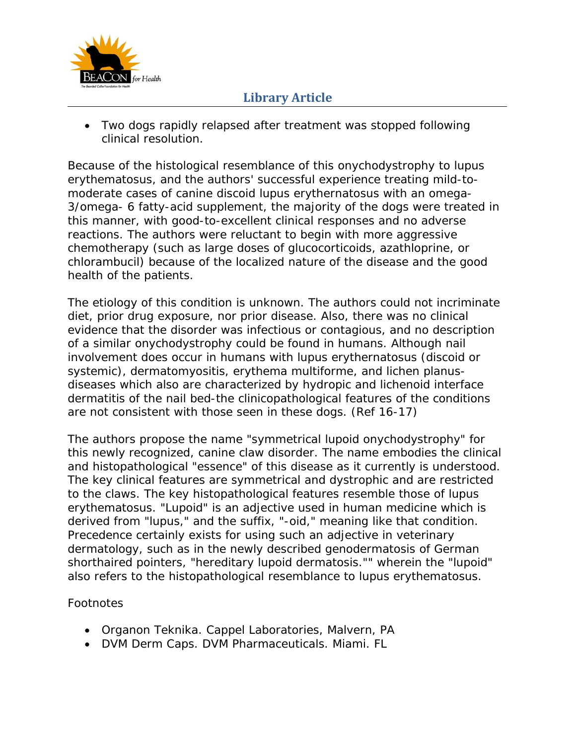

 Two dogs rapidly relapsed after treatment was stopped following clinical resolution.

Because of the histological resemblance of this onychodystrophy to lupus erythematosus, and the authors' successful experience treating mild-tomoderate cases of canine discoid lupus erythernatosus with an omega-3/omega- 6 fatty-acid supplement, the majority of the dogs were treated in this manner, with good-to-excellent clinical responses and no adverse reactions. The authors were reluctant to begin with more aggressive chemotherapy (such as large doses of glucocorticoids, azathloprine, or chlorambucil) because of the localized nature of the disease and the good health of the patients.

The etiology of this condition is unknown. The authors could not incriminate diet, prior drug exposure, nor prior disease. Also, there was no clinical evidence that the disorder was infectious or contagious, and no description of a similar onychodystrophy could be found in humans. Although nail involvement does occur in humans with lupus erythernatosus (discoid or systemic), dermatomyositis, erythema multiforme, and lichen planusdiseases which also are characterized by hydropic and lichenoid interface dermatitis of the nail bed-the clinicopathological features of the conditions are not consistent with those seen in these dogs. (Ref 16-17)

The authors propose the name "symmetrical lupoid onychodystrophy" for this newly recognized, canine claw disorder. The name embodies the clinical and histopathological "essence" of this disease as it currently is understood. The key clinical features are symmetrical and dystrophic and are restricted to the claws. The key histopathological features resemble those of lupus erythematosus. "Lupoid" is an adjective used in human medicine which is derived from "lupus," and the suffix, "-oid," meaning like that condition. Precedence certainly exists for using such an adjective in veterinary dermatology, such as in the newly described genodermatosis of German shorthaired pointers, "hereditary lupoid dermatosis."" wherein the "lupoid" also refers to the histopathological resemblance to lupus erythematosus.

### Footnotes

- Organon Teknika. Cappel Laboratories, Malvern, PA
- DVM Derm Caps. DVM Pharmaceuticals. Miami. FL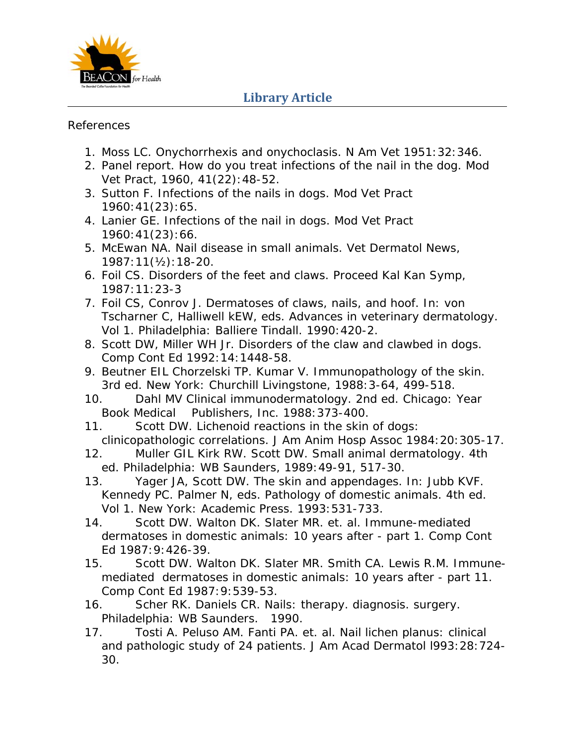

#### References

- 1. Moss LC. Onychorrhexis and onychoclasis. N Am Vet 1951:32:346.
- 2. Panel report. How do you treat infections of the nail in the dog. Mod Vet Pract, 1960, 41(22):48-52.
- 3. Sutton F. Infections of the nails in dogs. Mod Vet Pract 1960:41(23):65.
- 4. Lanier GE. Infections of the nail in dogs. Mod Vet Pract 1960:41(23):66.
- 5. McEwan NA. Nail disease in small animals. Vet Dermatol News, 1987:11(½):18-20.
- 6. Foil CS. Disorders of the feet and claws. Proceed Kal Kan Symp, 1987:11:23-3
- 7. Foil CS, Conrov J. Dermatoses of claws, nails, and hoof. In: von Tscharner C, Halliwell kEW, eds. Advances in veterinary dermatology. Vol 1. Philadelphia: Balliere Tindall. 1990:420-2.
- 8. Scott DW, Miller WH Jr. Disorders of the claw and clawbed in dogs. Comp Cont Ed 1992:14:1448-58.
- 9. Beutner EIL Chorzelski TP. Kumar V. Immunopathology of the skin. 3rd ed. New York: Churchill Livingstone, 1988:3-64, 499-518.
- 10. Dahl MV Clinical immunodermatology. 2nd ed. Chicago: Year Book Medical Publishers, Inc. 1988:373-400.
- 11. Scott DW. Lichenoid reactions in the skin of dogs: clinicopathologic correlations. J Am Anim Hosp Assoc 1984:20:305-17.
- 12. Muller GIL Kirk RW. Scott DW. Small animal dermatology. 4th ed. Philadelphia: WB Saunders, 1989:49-91, 517-30.
- 13. Yager JA, Scott DW. The skin and appendages. In: Jubb KVF. Kennedy PC. Palmer N, eds. Pathology of domestic animals. 4th ed. Vol 1. New York: Academic Press. 1993:531-733.
- 14. Scott DW. Walton DK. Slater MR. et. al. Immune-mediated dermatoses in domestic animals: 10 years after - part 1. Comp Cont Ed 1987:9:426-39.
- 15. Scott DW. Walton DK. Slater MR. Smith CA. Lewis R.M. Immunemediated dermatoses in domestic animals: 10 years after - part 11. Comp Cont Ed 1987:9:539-53.
- 16. Scher RK. Daniels CR. Nails: therapy. diagnosis. surgery. Philadelphia: WB Saunders. 1990.
- 17. Tosti A. Peluso AM. Fanti PA. et. al. Nail lichen planus: clinical and pathologic study of 24 patients. J Am Acad Dermatol l993:28:724- 30.